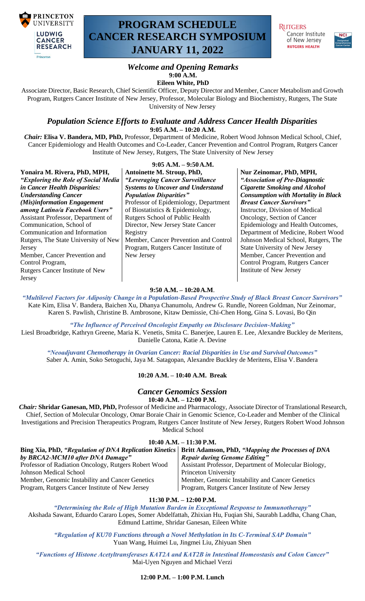

# **PROGRAM SCHEDULE CANCER RESEARCH SYMPOSIUM JANUARY 11, 2022**

**RUTGERS** Cancer Institute of New Jersey **RUTGERS HEALTH** 



## *Welcome and Opening Remarks* **9:00 A.M.**

**Eileen White, PhD**

Associate Director, Basic Research, Chief Scientific Officer, Deputy Director and Member, Cancer Metabolism and Growth Program, Rutgers Cancer Institute of New Jersey, Professor, Molecular Biology and Biochemistry, Rutgers, The State University of New Jersey

## *Population Science Efforts to Evaluate and Address Cancer Health Disparities*

**9:05 A.M. – 10:20 A.M.**

*Chair:* **Elisa V. Bandera, MD, PhD,** Professor, Department of Medicine, Robert Wood Johnson Medical School, Chief, Cancer Epidemiology and Health Outcomes and Co-Leader, Cancer Prevention and Control Program, Rutgers Cancer Institute of New Jersey, Rutgers, The State University of New Jersey

| Yonaira M. Rivera, PhD, MPH,           | $9:05 A.M. - 9:50 A.M.$<br>Antoinette M. Stroup, PhD, |
|----------------------------------------|-------------------------------------------------------|
| "Exploring the Role of Social Media    | "Leveraging Cancer Surveillance                       |
| in Cancer Health Disparities:          | <b>Systems to Uncover and Understa</b>                |
| <b>Understanding Cancer</b>            | <b>Population Disparities"</b>                        |
| (Mis)information Engagement            | Professor of Epidemiology, Depar                      |
| among Latino/a Facebook Users"         | of Biostatistics & Epidemiology,                      |
| Assistant Professor, Department of     | Rutgers School of Public Health                       |
| Communication, School of               | Director, New Jersey State Cancer                     |
| Communication and Information          | Registry                                              |
| Rutgers, The State University of New   | Member, Cancer Prevention and C                       |
| Jersey                                 | Program, Rutgers Cancer Institute                     |
| Member, Cancer Prevention and          | New Jersey                                            |
| Control Program,                       |                                                       |
| <b>Rutgers Cancer Institute of New</b> |                                                       |
| Jersey                                 |                                                       |

**Antoinette M. Stroup, PhD,**  *"Leveraging Cancer Surveillance Systems to Uncover and Understand Population Disparities"* niology, Department pidemiology, Public Health by State Cancer evention and Control Program, Program, Program, Program, Program, Program, Program, Program, Program, Program, Program, Program, Pr

#### **Nur Zeinomar, PhD, MPH,**

*"Association of Pre-Diagnostic Cigarette Smoking and Alcohol Consumption with Mortality in Black Breast Cancer Survivors"* Instructor, Division of Medical Oncology, Section of Cancer Epidemiology and Health Outcomes, Department of Medicine, Robert Wood Johnson Medical School, Rutgers, The State University of New Jersey Member, Cancer Prevention and Control Program, Rutgers Cancer Institute of New Jersey

#### **9:50 A.M. – 10:20A.M**.

*"Multilevel Factors for Adiposity Change in a Population-Based Prospective Study of Black Breast Cancer Survivors"* Kate Kim, Elisa V. Bandera, Baichen Xu, Dhanya Chanumolu, Andrew G. Rundle, Noreen Goldman, Nur Zeinomar, Karen S. Pawlish, Christine B. Ambrosone, Kitaw Demissie, Chi-Chen Hong, Gina S. Lovasi, Bo Qin

#### *"The Influence of Perceived Oncologist Empathy on Disclosure Decision-Making"*

Liesl Broadbridge, Kathryn Greene, Maria K. Venetis, Smita C. Banerjee, Lauren E. Lee, Alexandre Buckley de Meritens, Danielle Catona, Katie A. Devine

*"Neoadjuvant Chemotherapy in Ovarian Cancer: Racial Disparities in Use and Survival Outcomes"* Saber A. Amin, Soko Setoguchi, Jaya M. Satagopan, Alexandre Buckley de Meritens, Elisa V.Bandera

#### **10:20 A.M. – 10:40 A.M. Break**

#### *Cancer Genomics Session* **10:40 A.M. – 12:00 P.M.**

*Chair:* **Shridar Ganesan, MD, PhD,** Professor of Medicine and Pharmacology, Associate Director of Translational Research, Chief, Section of Molecular Oncology, Omar Boraie Chair in Genomic Science, Co-Leader and Member of the Clinical Investigations and Precision Therapeutics Program, Rutgers Cancer Institute of New Jersey, Rutgers Robert Wood Johnson Medical School

### **10:40 A.M. – 11:30 P.M.**

| $19.79 \, \text{A}$ .171. $= 11.991 \, \text{A}$                                                           |                                                       |
|------------------------------------------------------------------------------------------------------------|-------------------------------------------------------|
| Bing Xia, PhD, "Regulation of DNA Replication Kinetics   Britt Adamson, PhD, "Mapping the Processes of DNA |                                                       |
| by BRCA2-MCM10 after DNA Damage"                                                                           | <b>Repair during Genome Editing"</b>                  |
| Professor of Radiation Oncology, Rutgers Robert Wood                                                       | Assistant Professor, Department of Molecular Biology, |
| Johnson Medical School                                                                                     | Princeton University                                  |
| Member, Genomic Instability and Cancer Genetics                                                            | Member, Genomic Instability and Cancer Genetics       |
| Program, Rutgers Cancer Institute of New Jersey                                                            | Program, Rutgers Cancer Institute of New Jersey       |

**11:30 P.M. – 12:00 P.M.**

*"Determining the Role of High Mutation Burden in Exceptional Response to Immunotherapy"* Akshada Sawant, Eduardo Cararo Lopes, Somer Abdelfattah, Zhixian Hu, Fuqian Shi, Saurabh Laddha, Chang Chan, Edmund Lattime, Shridar Ganesan, Eileen White

*"Regulation of KU70 Functions through a Novel Methylation in Its C-Terminal SAP Domain"* Yuan Wang, Huimei Lu, Jingmei Liu, Zhiyuan Shen

*"Functions of Histone Acetyltransferases KAT2A and KAT2B in Intestinal Homeostasis and Colon Cancer"* Mai-Uyen Nguyen and Michael Verzi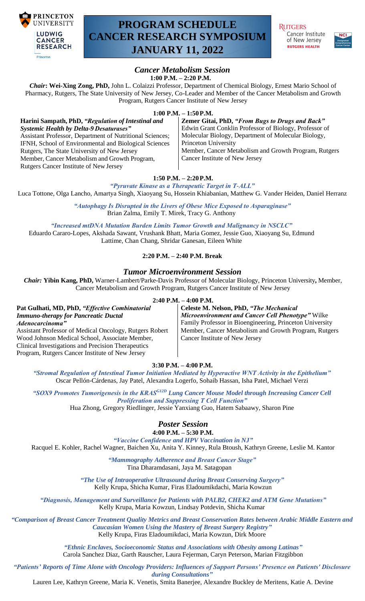

# **PROGRAM SCHEDULE CANCER RESEARCH SYMPOSIUM JANUARY 11, 2022**

**RUTGERS** Cancer Institute of New Jersey **RUTGERS HEALTH** 



#### *Cancer Metabolism Session* **1:00 P.M. – 2:20 P.M.**

*Chair***: Wei-Xing Zong, PhD,** John L. Colaizzi Professor, Department of Chemical Biology, Ernest Mario School of Pharmacy, Rutgers, The State University of New Jersey, Co-Leader and Member of the Cancer Metabolism and Growth Program, Rutgers Cancer Institute of New Jersey

**1:00 P.M. – 1:50P.M.**

**Harini Sampath, PhD,** *"Regulation of Intestinal and Systemic Health by Delta-9 Desaturases"* Assistant Professor, Department of Nutritional Sciences; IFNH, School of Environmental and Biological Sciences Rutgers, The State University of New Jersey Member, Cancer Metabolism and Growth Program, Rutgers Cancer Institute of New Jersey

#### **Zemer Gitai, PhD,** *"From Bugs to Drugs and Back"*  Edwin Grant Conklin Professor of Biology, Professor of Molecular Biology, Department of Molecular Biology, Princeton University Member, Cancer Metabolism and Growth Program, Rutgers Cancer Institute of New Jersey

**1:50 P.M. – 2:20P.M.**

*"Pyruvate Kinase as a Therapeutic Target in T-ALL"* Luca Tottone, Olga Lancho, Amartya Singh, Xiaoyang Su, Hossein Khiabanian, Matthew G. Vander Heiden, Daniel Herranz

> *"Autophagy Is Disrupted in the Livers of Obese Mice Exposed to Asparaginase"* Brian Zalma, Emily T. Mirek, Tracy G. Anthony

*"Increased mtDNA Mutation Burden Limits Tumor Growth and Malignancy in NSCLC"* Eduardo Cararo-Lopes, Akshada Sawant, Vrushank Bhatt, Maria Gomez, Jessie Guo, Xiaoyang Su, Edmund Lattime, Chan Chang, Shridar Ganesan, Eileen White

## **2:20 P.M. – 2:40 P.M. Break**

## *Tumor Microenvironment Session*

*Chair:* **Yibin Kang, PhD,** Warner-Lambert/Parke-Davis Professor of Molecular Biology, Princeton University**,** Member, Cancer Metabolism and Growth Program, Rutgers Cancer Institute of New Jersey

#### **2:40 P.M. – 4:00 P.M.**

**Pat Gulhati, MD, PhD,** *"Effective Combinatorial Immuno-therapy for Pancreatic Ductal Adenocarcinoma"* Assistant Professor of Medical Oncology, Rutgers Robert Wood Johnson Medical School, Associate Member, Clinical Investigations and Precision Therapeutics Program, Rutgers Cancer Institute of New Jersey **Celeste M. Nelson, PhD,** *"The Mechanical Microenvironment and Cancer Cell Phenotype"* Wilke Family Professor in Bioengineering, Princeton University Member, Cancer Metabolism and Growth Program, Rutgers Cancer Institute of New Jersey

### **3:30 P.M. – 4:00 P.M.**

*"Stromal Regulation of Intestinal Tumor Initiation Mediated by Hyperactive WNT Activity in the Epithelium"* Oscar Pellón-Cárdenas, Jay Patel, Alexandra Logerfo, Sohaib Hassan, Isha Patel, Michael Verzi

*"SOX9 Promotes Tumorigenesis in the KRASG12D Lung Cancer Mouse Model through Increasing Cancer Cell Proliferation and Suppressing T Cell Function"*

Hua Zhong, Gregory Riedlinger, Jessie Yanxiang Guo, Hatem Sabaawy, Sharon Pine

## *Poster Session*

## **4:00 P.M. – 5:30 P.M.**

*"Vaccine Confidence and HPV Vaccination in NJ"* Racquel E. Kohler, Rachel Wagner, Baichen Xu, Anita Y. Kinney, Rula Btoush, Kathryn Greene, Leslie M. Kantor

*"Mammography Adherence and Breast Cancer Stage"* Tina Dharamdasani, Jaya M. Satagopan

*"The Use of Intraoperative Ultrasound during Breast Conserving Surgery"* Kelly Krupa, Shicha Kumar, Firas Eladoumikdachi, Maria Kowzun

*"Diagnosis, Management and Surveillance for Patients with PALB2, CHEK2 and ATM Gene Mutations"* Kelly Krupa, Maria Kowzun, Lindsay Potdevin, Shicha Kumar

*"Comparison of Breast Cancer Treatment Quality Metrics and Breast Conservation Rates between Arabic Middle Eastern and Caucasian Women Using the Mastery of Breast Surgery Registry"* Kelly Krupa, Firas Eladoumikdaci, Maria Kowzun, Dirk Moore

> *"Ethnic Enclaves, Socioeconomic Status and Associations with Obesity among Latinas"* Carola Sanchez Diaz, Garth Rauscher, Laura Fejerman, Caryn Peterson, Marian Fitzgibbon

*"Patients' Reports of Time Alone with Oncology Providers: Influences of Support Persons' Presence on Patients' Disclosure during Consultations"*

Lauren Lee, Kathryn Greene, Maria K. Venetis, Smita Banerjee, Alexandre Buckley de Meritens, Katie A. Devine